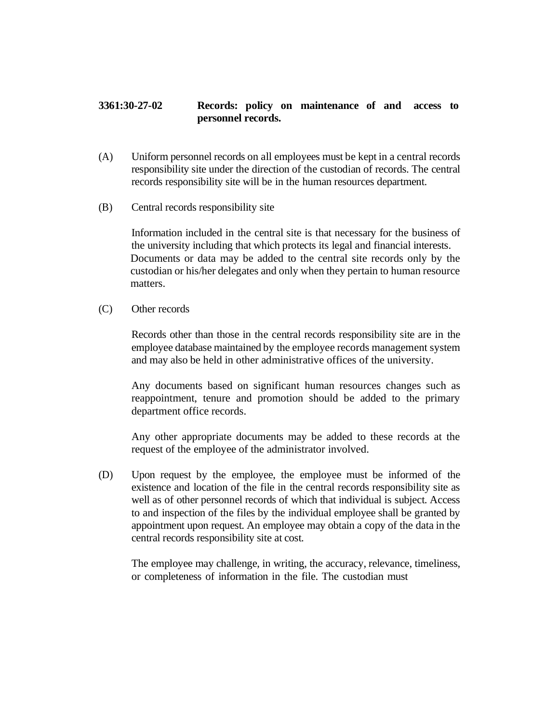## **3361:30-27-02 Records: policy on maintenance of and access to personnel records.**

- (A) Uniform personnel records on all employees must be kept in a central records responsibility site under the direction of the custodian of records. The central records responsibility site will be in the human resources department.
- (B) Central records responsibility site

Information included in the central site is that necessary for the business of the university including that which protects its legal and financial interests. Documents or data may be added to the central site records only by the custodian or his/her delegates and only when they pertain to human resource matters.

(C) Other records

Records other than those in the central records responsibility site are in the employee database maintained by the employee records management system and may also be held in other administrative offices of the university.

Any documents based on significant human resources changes such as reappointment, tenure and promotion should be added to the primary department office records.

Any other appropriate documents may be added to these records at the request of the employee of the administrator involved.

(D) Upon request by the employee, the employee must be informed of the existence and location of the file in the central records responsibility site as well as of other personnel records of which that individual is subject. Access to and inspection of the files by the individual employee shall be granted by appointment upon request. An employee may obtain a copy of the data in the central records responsibility site at cost.

The employee may challenge, in writing, the accuracy, relevance, timeliness, or completeness of information in the file. The custodian must